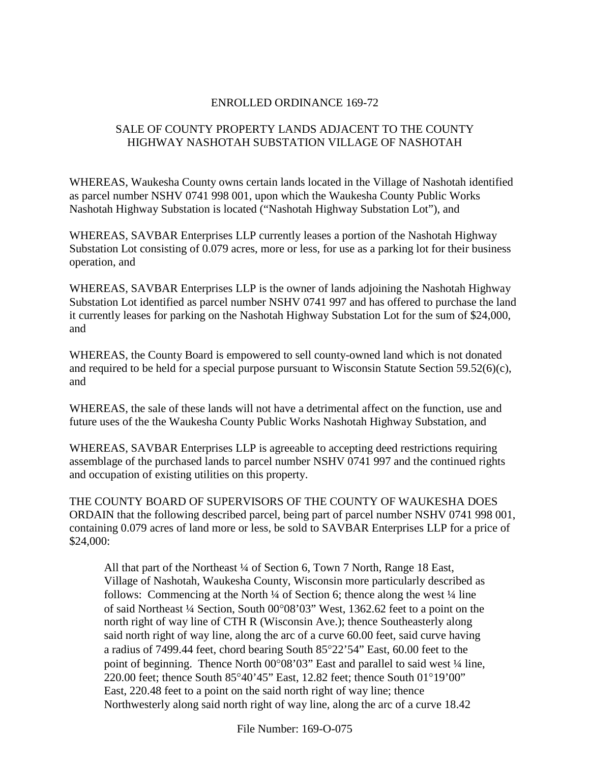#### ENROLLED ORDINANCE 169-72

# SALE OF COUNTY PROPERTY LANDS ADJACENT TO THE COUNTY HIGHWAY NASHOTAH SUBSTATION VILLAGE OF NASHOTAH

WHEREAS, Waukesha County owns certain lands located in the Village of Nashotah identified as parcel number NSHV 0741 998 001, upon which the Waukesha County Public Works Nashotah Highway Substation is located ("Nashotah Highway Substation Lot"), and

WHEREAS, SAVBAR Enterprises LLP currently leases a portion of the Nashotah Highway Substation Lot consisting of 0.079 acres, more or less, for use as a parking lot for their business operation, and

WHEREAS, SAVBAR Enterprises LLP is the owner of lands adjoining the Nashotah Highway Substation Lot identified as parcel number NSHV 0741 997 and has offered to purchase the land it currently leases for parking on the Nashotah Highway Substation Lot for the sum of \$24,000, and

WHEREAS, the County Board is empowered to sell county-owned land which is not donated and required to be held for a special purpose pursuant to Wisconsin Statute Section 59.52(6)(c), and

WHEREAS, the sale of these lands will not have a detrimental affect on the function, use and future uses of the the Waukesha County Public Works Nashotah Highway Substation, and

WHEREAS, SAVBAR Enterprises LLP is agreeable to accepting deed restrictions requiring assemblage of the purchased lands to parcel number NSHV 0741 997 and the continued rights and occupation of existing utilities on this property.

THE COUNTY BOARD OF SUPERVISORS OF THE COUNTY OF WAUKESHA DOES ORDAIN that the following described parcel, being part of parcel number NSHV 0741 998 001, containing 0.079 acres of land more or less, be sold to SAVBAR Enterprises LLP for a price of \$24,000:

All that part of the Northeast <sup>1</sup>/4 of Section 6, Town 7 North, Range 18 East, Village of Nashotah, Waukesha County, Wisconsin more particularly described as follows: Commencing at the North  $\frac{1}{4}$  of Section 6; thence along the west  $\frac{1}{4}$  line of said Northeast ¼ Section, South 00°08'03" West, 1362.62 feet to a point on the north right of way line of CTH R (Wisconsin Ave.); thence Southeasterly along said north right of way line, along the arc of a curve 60.00 feet, said curve having a radius of 7499.44 feet, chord bearing South 85°22'54" East, 60.00 feet to the point of beginning. Thence North 00°08'03" East and parallel to said west ¼ line, 220.00 feet; thence South 85°40'45" East, 12.82 feet; thence South 01°19'00" East, 220.48 feet to a point on the said north right of way line; thence Northwesterly along said north right of way line, along the arc of a curve 18.42

File Number: 169-O-075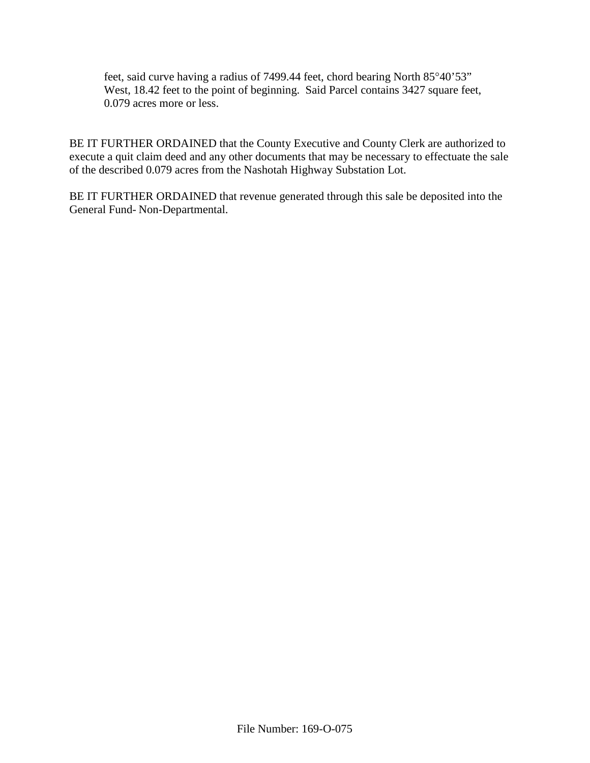feet, said curve having a radius of 7499.44 feet, chord bearing North 85°40'53" West, 18.42 feet to the point of beginning. Said Parcel contains 3427 square feet, 0.079 acres more or less.

BE IT FURTHER ORDAINED that the County Executive and County Clerk are authorized to execute a quit claim deed and any other documents that may be necessary to effectuate the sale of the described 0.079 acres from the Nashotah Highway Substation Lot.

BE IT FURTHER ORDAINED that revenue generated through this sale be deposited into the General Fund- Non-Departmental.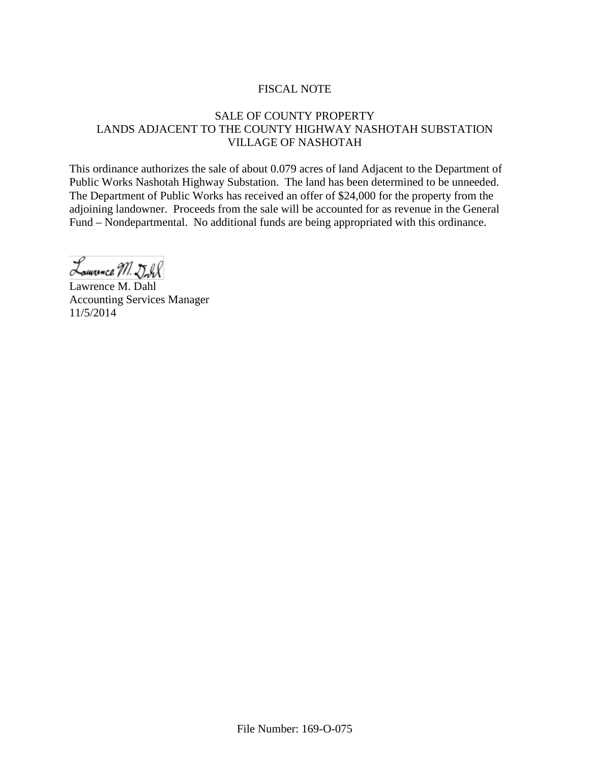# FISCAL NOTE

# SALE OF COUNTY PROPERTY LANDS ADJACENT TO THE COUNTY HIGHWAY NASHOTAH SUBSTATION VILLAGE OF NASHOTAH

This ordinance authorizes the sale of about 0.079 acres of land Adjacent to the Department of Public Works Nashotah Highway Substation. The land has been determined to be unneeded. The Department of Public Works has received an offer of \$24,000 for the property from the adjoining landowner. Proceeds from the sale will be accounted for as revenue in the General Fund – Nondepartmental. No additional funds are being appropriated with this ordinance.

Lauvance M. Doll

Lawrence M. Dahl Accounting Services Manager 11/5/2014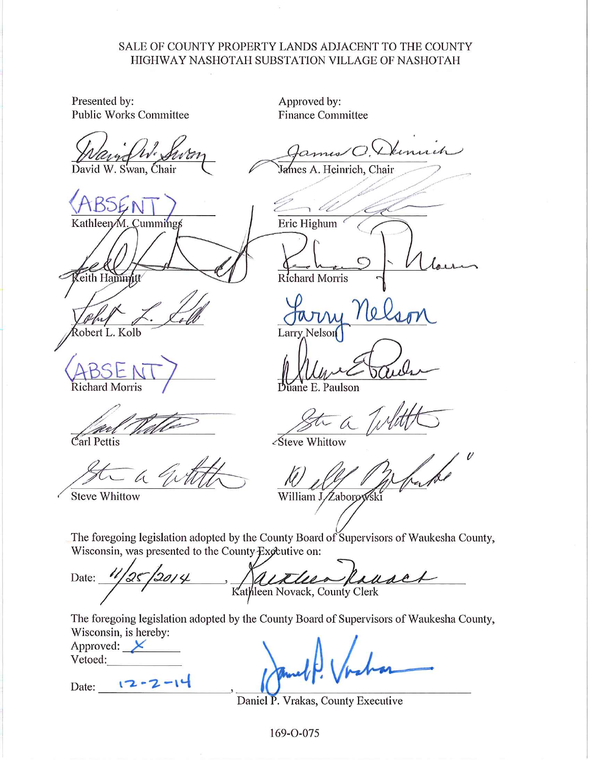#### SALE OF COUNTY PROPERTY LANDS ADJACENT TO THE COUNTY HIGHWAY NASHOTAH SUBSTATION VILLAGE OF NASHOTAH

Presented by: **Public Works Committee** 

David W. Swan, Chair

Kathleen/M Cummings eith Hai

obert L. Kolb

**Richard Morris** 

Carl Pettis

**Steve Whittow** 

Approved by: **Finance Committee** 

James A. Heinrich, Chair

Eric Highum **Richard Morris** 

Larry

ne E. Paulson

∠Steve Whittow

William J Zaborow

The foregoing legislation adopted by the County Board of Supervisors of Waukesha County, Wisconsin, was presented to the County Expeutive on:

Date:  $\lambda$ Kathleen Novack, County Clerk

The foregoing legislation adopted by the County Board of Supervisors of Waukesha County, Wisconsin, is hereby:

| Approved: |  |
|-----------|--|
| Vetoed:   |  |

 $12 - 2 - 14$ Date:

Daniel P. Vrakas, County Executive

169-0-075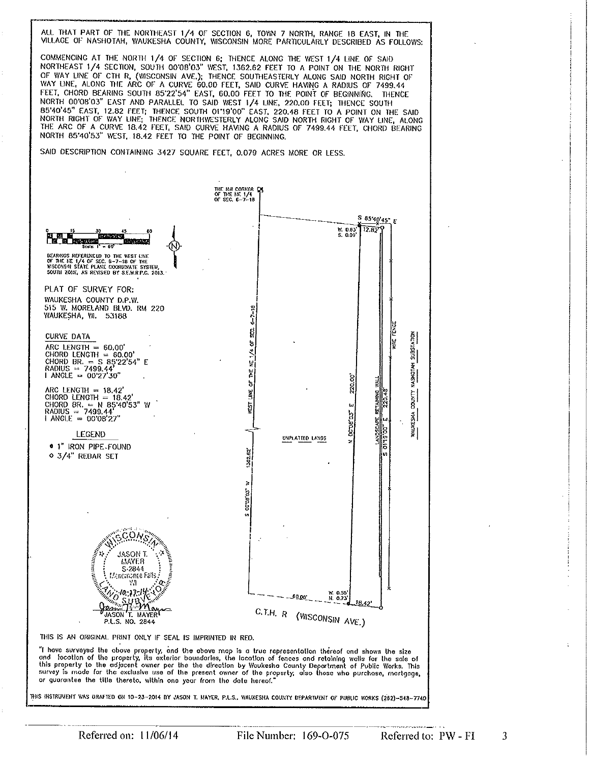ALL THAT PART OF THE NORTHEAST 1/4 OF SECTION 6, TOWN 7 NORTH, RANGE 18 EAST, IN THE VILLAGE OF NASHOTAH, WAUKESHA COUNTY, WISCONSIN MORE PARTICULARLY DESCRIBED AS FOLLOWS:

COMMENCING AT THE NORTH 1/4 OF SECTION 6; THENCE ALONG THE WEST 1/4 LINE OF SAID NORTHEAST 1/4 SECTION, SOUTH 00'08'03" WEST, 1362.62 FEET TO A POINT ON THE NORTH RIGHT OF WAY LINE OF CTH R, (WISCONSIN AVE.); THENCE SOUTHEASTERLY ALONG SAID NORTH RIGHT OF WAY LINE, ALONG THE ARC OF A CURVE 60.00 FEET, SAID CURVE HAVING A RADIUS OF 7499.44 FEET, CHORD BEARING SOUTH 85'22'54" EAST, 60.00 FEET TO THE POINT OF BEGINNING. THENCE NORTH 00'08'03" EAST AND PARALLEL TO SAID WEST 1/4 LINE, 220,00 FEET; THENCE SOUTH 85'40'45" EAST, 12.82 FEET; THENCE SOUTH 01'19'00" EAST, 220.48 FEET TO A POINT ON THE SAID NORTH RIGHT OF WAY LINE; THENCE NORTHWESTERLY A NORTH 85'40'53" WEST, 18.42 FEET TO THE POINT OF BEGINNING.

SAID DESCRIPTION CONTAINING 3427 SQUARE FEET, 0.079 ACRES MORE OR LESS.



File Number: 169-0-075

3